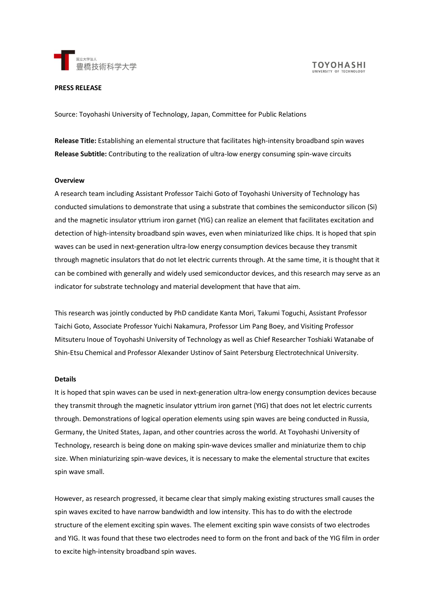

**TOYOHASHI** UNIVERSITY OF TECHNOL

# **PRESS RELEASE**

Source: Toyohashi University of Technology, Japan, Committee for Public Relations

**Release Title:** Establishing an elemental structure that facilitates high-intensity broadband spin waves **Release Subtitle:** Contributing to the realization of ultra-low energy consuming spin-wave circuits

### **Overview**

A research team including Assistant Professor Taichi Goto of Toyohashi University of Technology has conducted simulations to demonstrate that using a substrate that combines the semiconductor silicon (Si) and the magnetic insulator yttrium iron garnet (YIG) can realize an element that facilitates excitation and detection of high-intensity broadband spin waves, even when miniaturized like chips. It is hoped that spin waves can be used in next-generation ultra-low energy consumption devices because they transmit through magnetic insulators that do not let electric currents through. At the same time, it is thought that it can be combined with generally and widely used semiconductor devices, and this research may serve as an indicator for substrate technology and material development that have that aim.

This research was jointly conducted by PhD candidate Kanta Mori, Takumi Toguchi, Assistant Professor Taichi Goto, Associate Professor Yuichi Nakamura, Professor Lim Pang Boey, and Visiting Professor Mitsuteru Inoue of Toyohashi University of Technology as well as Chief Researcher Toshiaki Watanabe of Shin-Etsu Chemical and Professor Alexander Ustinov of Saint Petersburg Electrotechnical University.

#### **Details**

It is hoped that spin waves can be used in next-generation ultra-low energy consumption devices because they transmit through the magnetic insulator yttrium iron garnet (YIG) that does not let electric currents through. Demonstrations of logical operation elements using spin waves are being conducted in Russia, Germany, the United States, Japan, and other countries across the world. At Toyohashi University of Technology, research is being done on making spin-wave devices smaller and miniaturize them to chip size. When miniaturizing spin-wave devices, it is necessary to make the elemental structure that excites spin wave small.

However, as research progressed, it became clear that simply making existing structures small causes the spin waves excited to have narrow bandwidth and low intensity. This has to do with the electrode structure of the element exciting spin waves. The element exciting spin wave consists of two electrodes and YIG. It was found that these two electrodes need to form on the front and back of the YIG film in order to excite high-intensity broadband spin waves.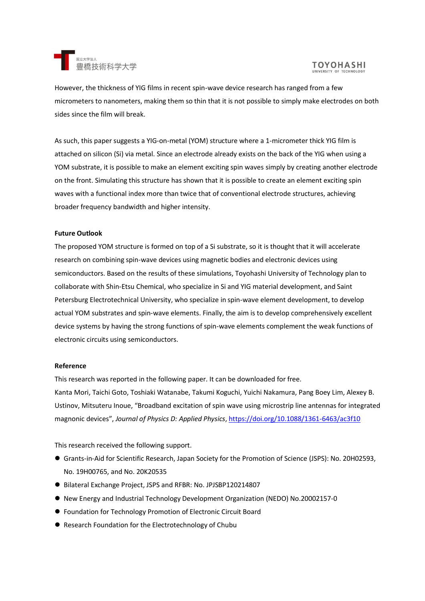

However, the thickness of YIG films in recent spin-wave device research has ranged from a few micrometers to nanometers, making them so thin that it is not possible to simply make electrodes on both sides since the film will break.

As such, this paper suggests a YIG-on-metal (YOM) structure where a 1-micrometer thick YIG film is attached on silicon (Si) via metal. Since an electrode already exists on the back of the YIG when using a YOM substrate, it is possible to make an element exciting spin waves simply by creating another electrode on the front. Simulating this structure has shown that it is possible to create an element exciting spin waves with a functional index more than twice that of conventional electrode structures, achieving broader frequency bandwidth and higher intensity.

# **Future Outlook**

The proposed YOM structure is formed on top of a Si substrate, so it is thought that it will accelerate research on combining spin-wave devices using magnetic bodies and electronic devices using semiconductors. Based on the results of these simulations, Toyohashi University of Technology plan to collaborate with Shin-Etsu Chemical, who specialize in Si and YIG material development, and Saint Petersburg Electrotechnical University, who specialize in spin-wave element development, to develop actual YOM substrates and spin-wave elements. Finally, the aim is to develop comprehensively excellent device systems by having the strong functions of spin-wave elements complement the weak functions of electronic circuits using semiconductors.

### **Reference**

This research was reported in the following paper. It can be downloaded for free. Kanta Mori, Taichi Goto, Toshiaki Watanabe, Takumi Koguchi, Yuichi Nakamura, Pang Boey Lim, Alexey B. Ustinov, Mitsuteru Inoue, "Broadband excitation of spin wave using microstrip line antennas for integrated magnonic devices", *Journal of Physics D: Applied Physics*[, https://doi.org/10.1088/1361-6463/ac3f10](https://doi.org/10.1088/1361-6463/ac3f10)

This research received the following support.

- ⚫ Grants-in-Aid for Scientific Research, Japan Society for the Promotion of Science (JSPS): No. 20H02593, No. 19H00765, and No. 20K20535
- Bilateral Exchange Project, JSPS and RFBR: No. JPJSBP120214807
- ⚫ New Energy and Industrial Technology Development Organization (NEDO) No.20002157-0
- Foundation for Technology Promotion of Electronic Circuit Board
- Research Foundation for the Electrotechnology of Chubu